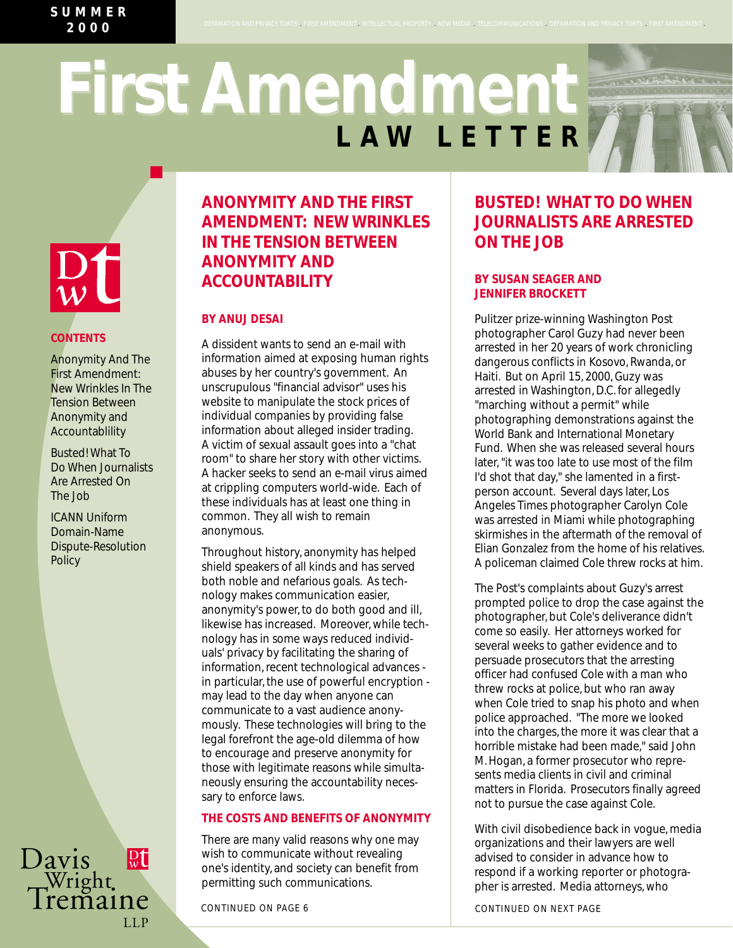>

# **LAW LETTER First Amendment First Amendment**

.<br>MATION AND PRIVACY TORTS \_ FIRST AMENDMENT . INTELLECTUAL PROPERTY . NEW MEDIA \_ TELECOMMUNICATIONS . DEFAMATION AND PRIVACY TORTS \_ FI



## **CONTENTS**

Anonymity And The First Amendment: New Wrinkles In The Tension Between Anonymity and Accountablility

Busted! What To Do When Journalists Are Arrested On The Job

ICANN Uniform Domain-Name Dispute-Resolution **Policy** 

Davis<br>Wright.<br>Tremaine LLP

# **ANONYMITY AND THE FIRST AMENDMENT: NEW WRINKLES IN THE TENSION BETWEEN ANONYMITY AND ACCOUNTABILITY**

### **BY ANUJ DESAI**

A dissident wants to send an e-mail with information aimed at exposing human rights abuses by her country's government. An unscrupulous "financial advisor" uses his website to manipulate the stock prices of individual companies by providing false information about alleged insider trading. A victim of sexual assault goes into a "chat room" to share her story with other victims. A hacker seeks to send an e-mail virus aimed at crippling computers world-wide. Each of these individuals has at least one thing in common. They all wish to remain anonymous.

Throughout history, anonymity has helped shield speakers of all kinds and has served both noble and nefarious goals. As technology makes communication easier, anonymity's power, to do both good and ill, likewise has increased. Moreover, while technology has in some ways reduced individuals' privacy by facilitating the sharing of information, recent technological advances in particular, the use of powerful encryption may lead to the day when anyone can communicate to a vast audience anonymously. These technologies will bring to the legal forefront the age-old dilemma of how to encourage and preserve anonymity for those with legitimate reasons while simultaneously ensuring the accountability necessary to enforce laws.

### **THE COSTS AND BENEFITS OF ANONYMITY**

There are many valid reasons why one may wish to communicate without revealing one's identity, and society can benefit from permitting such communications.

# **BUSTED! WHAT TO DO WHEN JOURNALISTS ARE ARRESTED ON THE JOB**

#### **BY SUSAN SEAGER AND JENNIFER BROCKETT**

Pulitzer prize-winning Washington Post photographer Carol Guzy had never been arrested in her 20 years of work chronicling dangerous conflicts in Kosovo, Rwanda, or Haiti. But on April 15, 2000, Guzy was arrested in Washington, D.C. for allegedly "marching without a permit" while photographing demonstrations against the World Bank and International Monetary Fund. When she was released several hours later, "it was too late to use most of the film I'd shot that day," she lamented in a firstperson account. Several days later, Los Angeles Times photographer Carolyn Cole was arrested in Miami while photographing skirmishes in the aftermath of the removal of Elian Gonzalez from the home of his relatives. A policeman claimed Cole threw rocks at him.

The Post's complaints about Guzy's arrest prompted police to drop the case against the photographer, but Cole's deliverance didn't come so easily. Her attorneys worked for several weeks to gather evidence and to persuade prosecutors that the arresting officer had confused Cole with a man who threw rocks at police, but who ran away when Cole tried to snap his photo and when police approached. "The more we looked into the charges, the more it was clear that a horrible mistake had been made," said John M. Hogan, a former prosecutor who represents media clients in civil and criminal matters in Florida. Prosecutors finally agreed not to pursue the case against Cole.

With civil disobedience back in vogue, media organizations and their lawyers are well advised to consider in advance how to respond if a working reporter or photographer is arrested. Media attorneys, who

*CONTINUED ON PAGE 6 CONTINUED ON NEXT PAGE*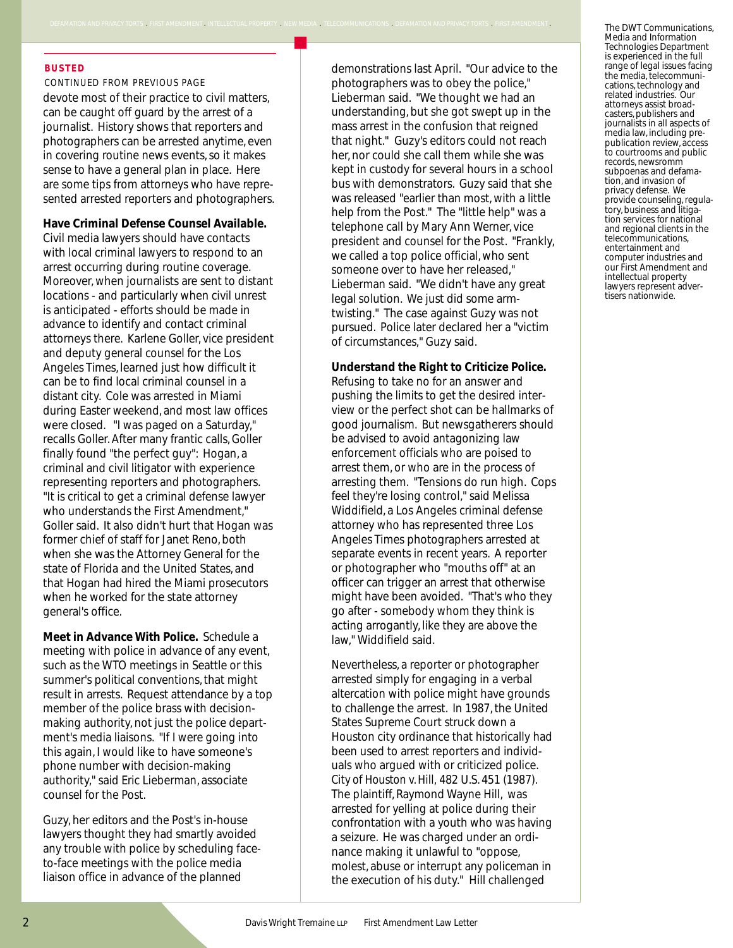#### **BUSTED**

*CONTINUED FROM PREVIOUS PAGE*

devote most of their practice to civil matters, can be caught off guard by the arrest of a journalist. History shows that reporters and photographers can be arrested anytime, even in covering routine news events, so it makes sense to have a general plan in place. Here are some tips from attorneys who have represented arrested reporters and photographers.

.<br>CY TORTS . FIRST AMENDMENT . INTELLECTUAL PROPERTY . NEW MEDIA . TELECOMMUNICATIONS . DEFAMATION AND PI

#### **Have Criminal Defense Counsel Available.**

Civil media lawyers should have contacts with local criminal lawyers to respond to an arrest occurring during routine coverage. Moreover, when journalists are sent to distant locations - and particularly when civil unrest is anticipated - efforts should be made in advance to identify and contact criminal attorneys there. Karlene Goller, vice president and deputy general counsel for the Los Angeles Times, learned just how difficult it can be to find local criminal counsel in a distant city. Cole was arrested in Miami during Easter weekend, and most law offices were closed. "I was paged on a Saturday," recalls Goller. After many frantic calls, Goller finally found "the perfect guy": Hogan, a criminal and civil litigator with experience representing reporters and photographers. "It is critical to get a criminal defense lawyer who understands the First Amendment," Goller said. It also didn't hurt that Hogan was former chief of staff for Janet Reno, both when she was the Attorney General for the state of Florida and the United States, and that Hogan had hired the Miami prosecutors when he worked for the state attorney general's office.

**Meet in Advance With Police.** Schedule a meeting with police in advance of any event, such as the WTO meetings in Seattle or this summer's political conventions, that might result in arrests. Request attendance by a top member of the police brass with decisionmaking authority, not just the police department's media liaisons. "If I were going into this again, I would like to have someone's phone number with decision-making authority," said Eric Lieberman, associate counsel for the Post.

Guzy, her editors and the Post's in-house lawyers thought they had smartly avoided any trouble with police by scheduling faceto-face meetings with the police media liaison office in advance of the planned

demonstrations last April. "Our advice to the photographers was to obey the police," Lieberman said. "We thought we had an understanding, but she got swept up in the mass arrest in the confusion that reigned that night." Guzy's editors could not reach her, nor could she call them while she was kept in custody for several hours in a school bus with demonstrators. Guzy said that she was released "earlier than most, with a little help from the Post." The "little help" was a telephone call by Mary Ann Werner, vice president and counsel for the Post. "Frankly, we called a top police official, who sent someone over to have her released," Lieberman said. "We didn't have any great legal solution. We just did some armtwisting." The case against Guzy was not pursued. Police later declared her a "victim of circumstances," Guzy said.

#### **Understand the Right to Criticize Police.**

Refusing to take no for an answer and pushing the limits to get the desired interview or the perfect shot can be hallmarks of good journalism. But newsgatherers should be advised to avoid antagonizing law enforcement officials who are poised to arrest them, or who are in the process of arresting them. "Tensions do run high. Cops feel they're losing control," said Melissa Widdifield, a Los Angeles criminal defense attorney who has represented three Los Angeles Times photographers arrested at separate events in recent years. A reporter or photographer who "mouths off" at an officer can trigger an arrest that otherwise might have been avoided. "That's who they go after - somebody whom they think is acting arrogantly, like they are above the law," Widdifield said.

Nevertheless, a reporter or photographer arrested simply for engaging in a verbal altercation with police might have grounds to challenge the arrest. In 1987, the United States Supreme Court struck down a Houston city ordinance that historically had been used to arrest reporters and individuals who argued with or criticized police. *City of Houston v. Hill,* 482 U.S. 451 (1987). The plaintiff, Raymond Wayne Hill, was arrested for yelling at police during their confrontation with a youth who was having a seizure. He was charged under an ordinance making it unlawful to "oppose, molest, abuse or interrupt any policeman in the execution of his duty." Hill challenged

The DWT Communications, Media and Information Technologies Department is experienced in the full range of legal issues facing the media, telecommunications, technology and related industries. Our attorneys assist broadcasters, publishers and journalists in all aspects of media law, including prepublication review, access to courtrooms and public records, newsromm subpoenas and defamation, and invasion of privacy defense. We provide counseling, regulatory, business and litigation services for national and regional clients in the telecommunications, entertainment and computer industries and our First Amendment and intellectual property lawyers represent advertisers nationwide.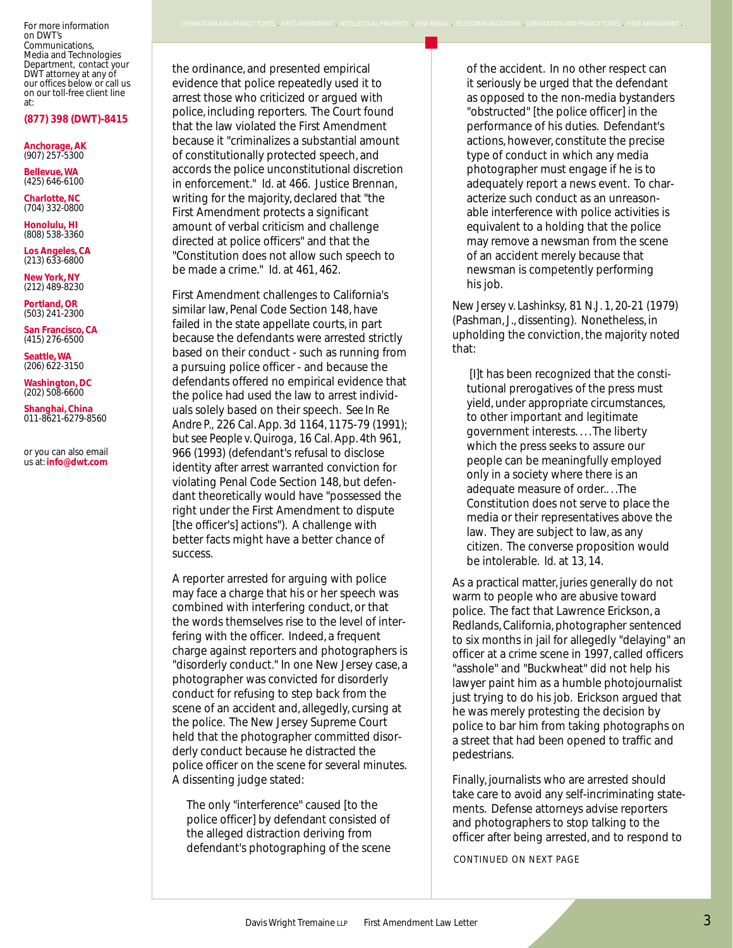For more information on DWT's Communications, Media and Technologies Department, contact your DWT attorney at any of our offices below or call us on our toll-free client line at:

#### **(877) 398 (DWT)-8415**

**Anchorage, AK** (907) 257-5300

**Bellevue, WA** (425) 646-6100

**Charlotte, NC** (704) 332-0800

**Honolulu, HI** (808) 538-3360

**Los Angeles, CA** (213) 633-6800

**New York, NY** (212) 489-8230

**Portland, OR** (503) 241-2300

**San Francisco, CA** (415) 276-6500

**Seattle, WA** (206) 622-3150

**Washington, DC** (202) 508-6600

**Shanghai, China** 011-8621-6279-8560

or you can also email us at: **info@dwt.com**

the ordinance, and presented empirical evidence that police repeatedly used it to arrest those who criticized or argued with police, including reporters. The Court found that the law violated the First Amendment because it "criminalizes a substantial amount of constitutionally protected speech, and accords the police unconstitutional discretion in enforcement." *Id.* at 466. Justice Brennan, writing for the majority, declared that "the First Amendment protects a significant amount of verbal criticism and challenge directed at police officers" and that the "Constitution does not allow such speech to be made a crime." *Id.* at 461, 462.

First Amendment challenges to California's similar law, Penal Code Section 148, have failed in the state appellate courts, in part because the defendants were arrested strictly based on their conduct - such as running from a pursuing police officer - and because the defendants offered no empirical evidence that the police had used the law to arrest individuals solely based on their speech. *See In Re Andre P.,* 226 Cal. App. 3d 1164, 1175-79 (1991); *but see People v. Quiroga,* 16 Cal. App. 4th 961, 966 (1993) (defendant's refusal to disclose identity after arrest warranted conviction for violating Penal Code Section 148, but defendant theoretically would have "possessed the right under the First Amendment to dispute [the officer's] actions"). A challenge with better facts might have a better chance of success.

A reporter arrested for arguing with police may face a charge that his or her speech was combined with interfering conduct, or that the words themselves rise to the level of interfering with the officer. Indeed, a frequent charge against reporters and photographers is "disorderly conduct." In one New Jersey case, a photographer was convicted for disorderly conduct for refusing to step back from the scene of an accident and, allegedly, cursing at the police. The New Jersey Supreme Court held that the photographer committed disorderly conduct because he distracted the police officer on the scene for several minutes. A dissenting judge stated:

The only "interference" caused [to the police officer] by defendant consisted of the alleged distraction deriving from defendant's photographing of the scene

e repeatedly used it to<br>
it seriously be urged that the defendant<br>
iticized or argued with<br>
norters The Court found<br>
Notes The Court found<br>
Notes The Court found<br>
Notes The Court found<br>
Notes The Court found<br>
Notes The Cou of the accident. In no other respect can it seriously be urged that the defendant as opposed to the non-media bystanders "obstructed" [the police officer] in the performance of his duties. Defendant's actions, however, constitute the precise type of conduct in which any media photographer must engage if he is to adequately report a news event. To characterize such conduct as an unreasonable interference with police activities is equivalent to a holding that the police may remove a newsman from the scene of an accident merely because that newsman is competently performing his job.

.<br>ACY TORTS \_ FIRST AMENDMENT \_ INTELLECTUAL PROPERTY \_ NEW MEDIA \_ TELECOMMUNICATIONS \_ DEFAMATION AND PRIVACY TORTS \_ FIRST AMENDMENT \_

*New Jersey v. Lashinksy,* 81 N.J. 1, 20-21 (1979) (Pashman, J., dissenting). Nonetheless, in upholding the conviction, the majority noted that:

[I]t has been recognized that the constitutional prerogatives of the press must yield, under appropriate circumstances, to other important and legitimate government interests. . . . The liberty which the press seeks to assure our people can be meaningfully employed only in a society where there is an adequate measure of order.. . .The Constitution does not serve to place the media or their representatives above the law. They are subject to law, as any citizen. The converse proposition would be intolerable. *Id.* at 13, 14.

As a practical matter, juries generally do not warm to people who are abusive toward police. The fact that Lawrence Erickson, a Redlands, California, photographer sentenced to six months in jail for allegedly "delaying" an officer at a crime scene in 1997, called officers "asshole" and "Buckwheat" did not help his lawyer paint him as a humble photojournalist just trying to do his job. Erickson argued that he was merely protesting the decision by police to bar him from taking photographs on a street that had been opened to traffic and pedestrians.

Finally, journalists who are arrested should take care to avoid any self-incriminating statements. Defense attorneys advise reporters and photographers to stop talking to the officer after being arrested, and to respond to

*CONTINUED ON NEXT PAGE*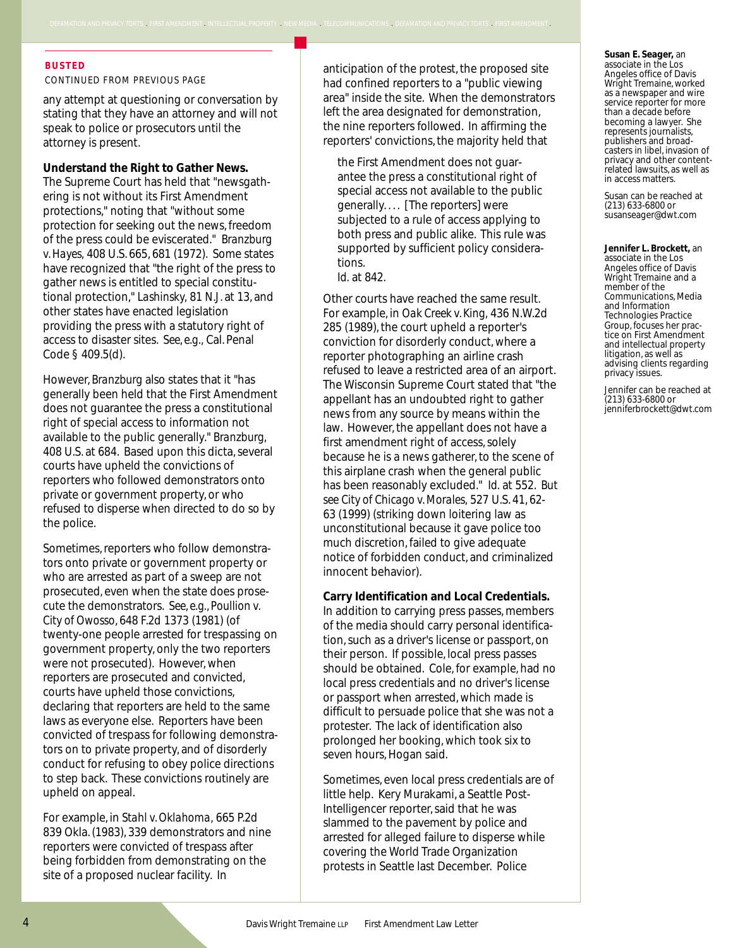#### **BUSTED**

*CONTINUED FROM PREVIOUS PAGE*

any attempt at questioning or conversation by stating that they have an attorney and will not speak to police or prosecutors until the attorney is present.

.<br>CY TORTS FIRST AMENDMENT INTELLECTUAL PROPERTY NEW MEDIA TELECOMMUNICATIONS DEFAMATION AND P

#### **Understand the Right to Gather News.**

The Supreme Court has held that "newsgathering is not without its First Amendment protections," noting that "without some protection for seeking out the news, freedom of the press could be eviscerated." *Branzburg v. Hayes,* 408 U.S. 665, 681 (1972). Some states have recognized that "the right of the press to gather news is entitled to special constitutional protection," *Lashinsky,* 81 N.J. at 13, and other states have enacted legislation providing the press with a statutory right of access to disaster sites. *See, e.g.,* Cal. Penal Code § 409.5(d).

However, *Branzburg* also states that it "has generally been held that the First Amendment does not guarantee the press a constitutional right of special access to information not available to the public generally." *Branzburg,* 408 U.S. at 684. Based upon this dicta, several courts have upheld the convictions of reporters who followed demonstrators onto private or government property, or who refused to disperse when directed to do so by the police.

Sometimes, reporters who follow demonstrators onto private or government property or who are arrested as part of a sweep are not prosecuted, even when the state does prosecute the demonstrators. *See, e.g., Poullion v. City of Owosso*, 648 F.2d 1373 (1981) (of twenty-one people arrested for trespassing on government property, only the two reporters were not prosecuted). However, when reporters are prosecuted and convicted, courts have upheld those convictions, declaring that reporters are held to the same laws as everyone else. Reporters have been convicted of trespass for following demonstrators on to private property, and of disorderly conduct for refusing to obey police directions to step back. These convictions routinely are upheld on appeal.

For example, in *Stahl v. Oklahoma,* 665 P.2d 839 Okla. (1983), 339 demonstrators and nine reporters were convicted of trespass after being forbidden from demonstrating on the site of a proposed nuclear facility. In

anticipation of the protest, the proposed site had confined reporters to a "public viewing area" inside the site. When the demonstrators left the area designated for demonstration, the nine reporters followed. In affirming the reporters' convictions, the majority held that

the First Amendment does not guarantee the press a constitutional right of special access not available to the public generally. . . . [The reporters] were subjected to a rule of access applying to both press and public alike. This rule was supported by sufficient policy considerations. *Id.* at 842.

Other courts have reached the same result. For example, in *Oak Creek v. King,* 436 N.W.2d 285 (1989), the court upheld a reporter's conviction for disorderly conduct, where a reporter photographing an airline crash refused to leave a restricted area of an airport. The Wisconsin Supreme Court stated that "the appellant has an undoubted right to gather news from any source by means within the law. However, the appellant does not have a first amendment right of access, solely because he is a news gatherer, to the scene of this airplane crash when the general public has been reasonably excluded." *Id.* at 552. *But see City of Chicago v. Morales,* 527 U.S. 41, 62- 63 (1999) (striking down loitering law as unconstitutional because it gave police too much discretion, failed to give adequate notice of forbidden conduct, and criminalized innocent behavior).

#### **Carry Identification and Local Credentials.**

In addition to carrying press passes, members of the media should carry personal identification, such as a driver's license or passport, on their person. If possible, local press passes should be obtained. Cole, for example, had no local press credentials and no driver's license or passport when arrested, which made is difficult to persuade police that she was not a protester. The lack of identification also prolonged her booking, which took six to seven hours, Hogan said.

Sometimes, even local press credentials are of little help. Kery Murakami, a Seattle Post-Intelligencer reporter, said that he was slammed to the pavement by police and arrested for alleged failure to disperse while covering the World Trade Organization protests in Seattle last December. Police

**Susan E. Seager,** an associate in the Los Angeles office of Davis Wright Tremaine, worked as a newspaper and wire service reporter for more than a decade before becoming a lawyer. She represents journalists, publishers and broadcasters in libel, invasion of privacy and other contentrelated lawsuits, as well as in access matters.

Susan can be reached at (213) 633-6800 or susanseager@dwt.com

**Jennifer L. Brockett,** an associate in the Los Angeles office of Davis Wright Tremaine and a member of the Communications, Media and Information Technologies Practice Group, focuses her practice on First Amendment and intellectual property litigation, as well as advising clients regarding privacy issues.

Jennifer can be reached at (213) 633-6800 or jenniferbrockett@dwt.com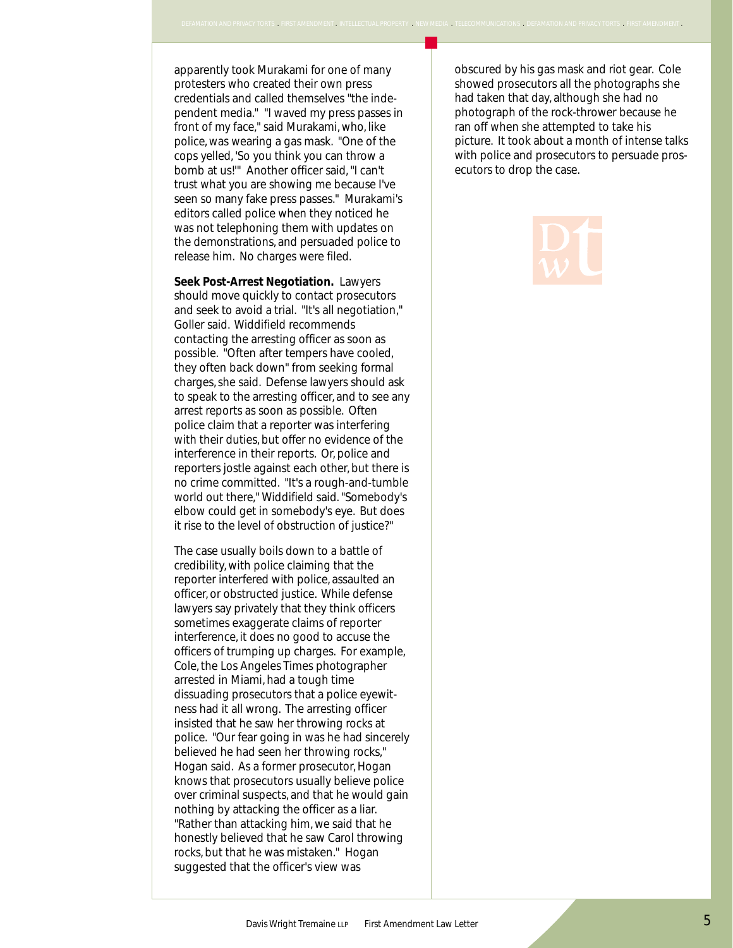apparently took Murakami for one of many protesters who created their own press credentials and called themselves "the independent media." "I waved my press passes in front of my face," said Murakami, who, like police, was wearing a gas mask. "One of the cops yelled, 'So you think you can throw a bomb at us!'" Another officer said, "I can't trust what you are showing me because I've seen so many fake press passes." Murakami's editors called police when they noticed he was not telephoning them with updates on the demonstrations, and persuaded police to release him. No charges were filed.

**Seek Post-Arrest Negotiation.** Lawyers should move quickly to contact prosecutors and seek to avoid a trial. "It's all negotiation," Goller said. Widdifield recommends contacting the arresting officer as soon as possible. "Often after tempers have cooled, they often back down" from seeking formal charges, she said. Defense lawyers should ask to speak to the arresting officer, and to see any arrest reports as soon as possible. Often police claim that a reporter was interfering with their duties, but offer no evidence of the interference in their reports. Or, police and reporters jostle against each other, but there is no crime committed. "It's a rough-and-tumble world out there," Widdifield said. "Somebody's elbow could get in somebody's eye. But does it rise to the level of obstruction of justice?"

The case usually boils down to a battle of credibility, with police claiming that the reporter interfered with police, assaulted an officer, or obstructed justice. While defense lawyers say privately that they think officers sometimes exaggerate claims of reporter interference, it does no good to accuse the officers of trumping up charges. For example, Cole, the Los Angeles Times photographer arrested in Miami, had a tough time dissuading prosecutors that a police eyewitness had it all wrong. The arresting officer insisted that he saw her throwing rocks at police. "Our fear going in was he had sincerely believed he had seen her throwing rocks," Hogan said. As a former prosecutor, Hogan knows that prosecutors usually believe police over criminal suspects, and that he would gain nothing by attacking the officer as a liar. "Rather than attacking him, we said that he honestly believed that he saw Carol throwing rocks, but that he was mistaken." Hogan suggested that the officer's view was

ated their own press<br>led themselves "the inde-<br>l waved my press passes in obscured by his gas mask and riot gear. Cole showed prosecutors all the photographs she had taken that day, although she had no photograph of the rock-thrower because he ran off when she attempted to take his picture. It took about a month of intense talks with police and prosecutors to persuade prosecutors to drop the case.

.<br>A TELECOMMUNICATION CONTROLLY AND THE TERMINICATION CONTRACT ON A TELECOMMUNICATIONS . DEFAMATION AND PRIVACY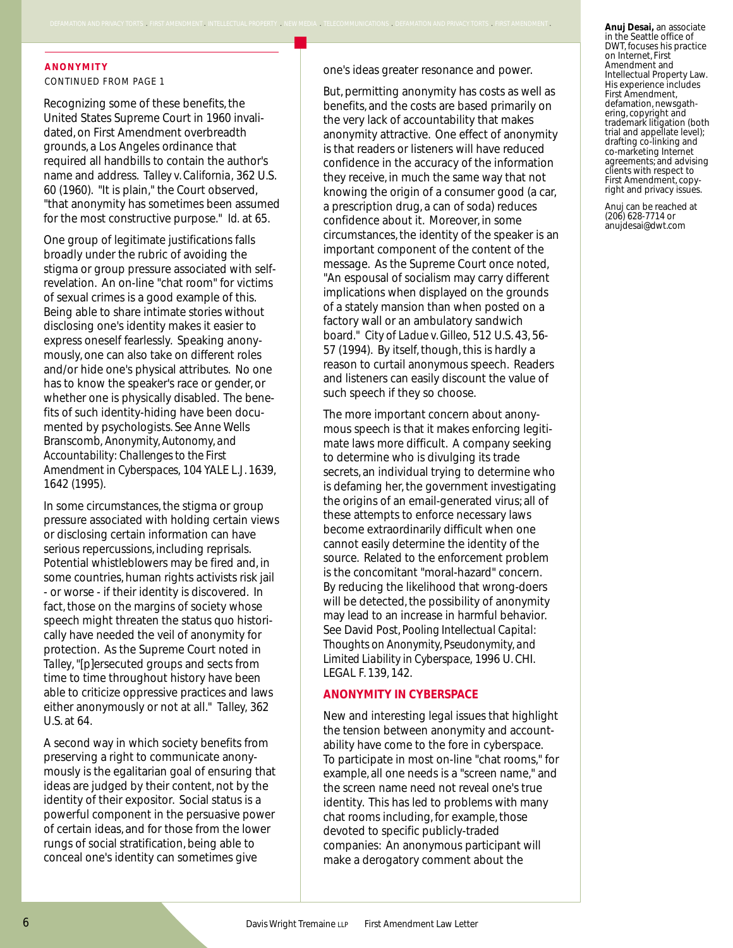#### **ANONYMITY** *CONTINUED FROM PAGE 1*

Recognizing some of these benefits, the United States Supreme Court in 1960 invalidated, on First Amendment overbreadth grounds, a Los Angeles ordinance that required all handbills to contain the author's name and address. *Talley v. California,* 362 U.S. 60 (1960). "It is plain," the Court observed, "that anonymity has sometimes been assumed for the most constructive purpose." *Id.* at 65.

ICY TORTS . FIRST AMENDMENT . INTELLECTUAL PROPERTY . NEW MEDIA . TELECOMMUNICATIONS . DEFAMATION AND P

One group of legitimate justifications falls broadly under the rubric of avoiding the stigma or group pressure associated with selfrevelation. An on-line "chat room" for victims of sexual crimes is a good example of this. Being able to share intimate stories without disclosing one's identity makes it easier to express oneself fearlessly. Speaking anonymously, one can also take on different roles and/or hide one's physical attributes. No one has to know the speaker's race or gender, or whether one is physically disabled. The benefits of such identity-hiding have been documented by psychologists. *See* Anne Wells Branscomb, *Anonymity, Autonomy, and Accountability: Challenges to the First Amendment in Cyberspaces,* 104 YALE L.J. 1639, 1642 (1995).

In some circumstances, the stigma or group pressure associated with holding certain views or disclosing certain information can have serious repercussions, including reprisals. Potential whistleblowers may be fired and, in some countries, human rights activists risk jail - or worse - if their identity is discovered. In fact, those on the margins of society whose speech might threaten the status quo historically have needed the veil of anonymity for protection. As the Supreme Court noted in *Talley*, "[p]ersecuted groups and sects from time to time throughout history have been able to criticize oppressive practices and laws either anonymously or not at all." *Talley,* 362 U.S. at 64.

A second way in which society benefits from preserving a right to communicate anonymously is the egalitarian goal of ensuring that ideas are judged by their content, not by the identity of their expositor. Social status is a powerful component in the persuasive power of certain ideas, and for those from the lower rungs of social stratification, being able to conceal one's identity can sometimes give

one's ideas greater resonance and power.

But, permitting anonymity has costs as well as benefits, and the costs are based primarily on the very lack of accountability that makes anonymity attractive. One effect of anonymity is that readers or listeners will have reduced confidence in the accuracy of the information they receive, in much the same way that not knowing the origin of a consumer good (a car, a prescription drug, a can of soda) reduces confidence about it. Moreover, in some circumstances, the identity of the speaker is an important component of the content of the message. As the Supreme Court once noted, "An espousal of socialism may carry different implications when displayed on the grounds of a stately mansion than when posted on a factory wall or an ambulatory sandwich board." *City of Ladue v. Gilleo,* 512 U.S. 43, 56- 57 (1994). By itself, though, this is hardly a reason to curtail anonymous speech. Readers and listeners can easily discount the value of such speech if they so choose.

The more important concern about anonymous speech is that it makes enforcing legitimate laws more difficult. A company seeking to determine who is divulging its trade secrets, an individual trying to determine who is defaming her, the government investigating the origins of an email-generated virus; all of these attempts to enforce necessary laws become extraordinarily difficult when one cannot easily determine the identity of the source. Related to the enforcement problem is the concomitant "moral-hazard" concern. By reducing the likelihood that wrong-doers will be detected, the possibility of anonymity may lead to an increase in harmful behavior. See David Post, *Pooling Intellectual Capital: Thoughts on Anonymity, Pseudonymity, and Limited Liability in Cyberspace,* 1996 U. CHI. LEGAL F. 139, 142.

#### **ANONYMITY IN CYBERSPACE**

New and interesting legal issues that highlight the tension between anonymity and accountability have come to the fore in cyberspace. To participate in most on-line "chat rooms," for example, all one needs is a "screen name," and the screen name need not reveal one's true identity. This has led to problems with many chat rooms including, for example, those devoted to specific publicly-traded companies: An anonymous participant will make a derogatory comment about the

**Anuj Desai,** an associate in the Seattle office of DWT, focuses his practice on Internet, First Amendment and Intellectual Property Law. His experience includes First Amendment, defamation, newsgathering, copyright and trademark litigation (both trial and appellate level); drafting co-linking and co-marketing Internet agreements; and advising clients with respect to First Amendment, copyright and privacy issues.

Anuj can be reached at (206) 628-7714 or anujdesai@dwt.com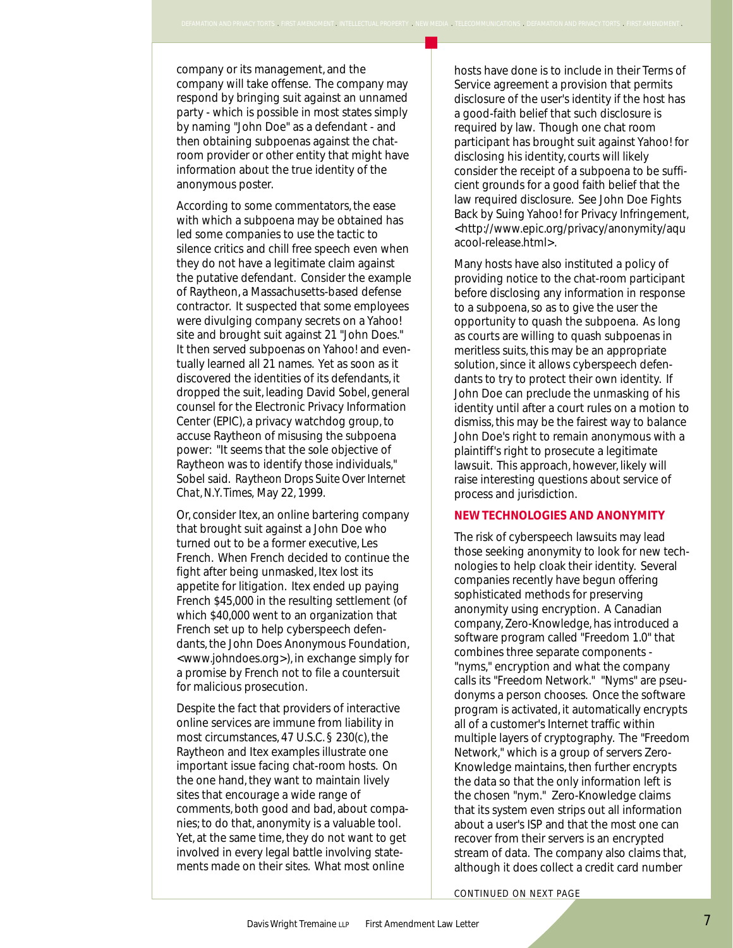company or its management, and the company will take offense. The company may respond by bringing suit against an unnamed party - which is possible in most states simply by naming "John Doe" as a defendant - and then obtaining subpoenas against the chatroom provider or other entity that might have information about the true identity of the anonymous poster.

According to some commentators, the ease with which a subpoena may be obtained has led some companies to use the tactic to silence critics and chill free speech even when they do not have a legitimate claim against the putative defendant. Consider the example of Raytheon, a Massachusetts-based defense contractor. It suspected that some employees were divulging company secrets on a Yahoo! site and brought suit against 21 "John Does." It then served subpoenas on Yahoo! and eventually learned all 21 names. Yet as soon as it discovered the identities of its defendants, it dropped the suit, leading David Sobel, general counsel for the Electronic Privacy Information Center (EPIC), a privacy watchdog group, to accuse Raytheon of misusing the subpoena power: "It seems that the sole objective of Raytheon was to identify those individuals," Sobel said. *Raytheon Drops Suite Over Internet Chat, N.Y. Times,* May 22, 1999.

Or, consider Itex, an online bartering company that brought suit against a John Doe who turned out to be a former executive, Les French. When French decided to continue the fight after being unmasked, Itex lost its appetite for litigation. Itex ended up paying French \$45,000 in the resulting settlement (of which \$40,000 went to an organization that French set up to help cyberspeech defendants, the John Does Anonymous Foundation, <www.johndoes.org>), in exchange simply for a promise by French not to file a countersuit for malicious prosecution.

Despite the fact that providers of interactive online services are immune from liability in most circumstances, 47 U.S.C. § 230(c), the Raytheon and Itex examples illustrate one important issue facing chat-room hosts. On the one hand, they want to maintain lively sites that encourage a wide range of comments, both good and bad, about companies; to do that, anonymity is a valuable tool. Yet, at the same time, they do not want to get involved in every legal battle involving statements made on their sites. What most online

Nosts have done is to metade in their refinsion<br>offense. The company may<br>not states simply<br>stible in most states simply<br>a good-faith belief that such disclosure is hosts have done is to include in their Terms of disclosure of the user's identity if the host has a good-faith belief that such disclosure is required by law. Though one chat room participant has brought suit against Yahoo! for disclosing his identity, courts will likely consider the receipt of a subpoena to be sufficient grounds for a good faith belief that the law required disclosure. See John Doe Fights Back by Suing Yahoo! for Privacy Infringement, <http://www.epic.org/privacy/anonymity/aqu acool-release.html>.

.<br>MATION AND PRIVACY TORTS . FIRST AMENDMENT . INTELLECTUAL PROPERTY . NEW MEDIA . TELECOMMUNICATIONS . DEFAMATION AND PRIVACY TORTS . FIRST AMENDMENT

Many hosts have also instituted a policy of providing notice to the chat-room participant before disclosing any information in response to a subpoena, so as to give the user the opportunity to quash the subpoena. As long as courts are willing to quash subpoenas in meritless suits, this may be an appropriate solution, since it allows cyberspeech defendants to try to protect their own identity. If John Doe can preclude the unmasking of his identity until after a court rules on a motion to dismiss, this may be the fairest way to balance John Doe's right to remain anonymous with a plaintiff's right to prosecute a legitimate lawsuit. This approach, however, likely will raise interesting questions about service of process and jurisdiction.

#### **NEW TECHNOLOGIES AND ANONYMITY**

The risk of cyberspeech lawsuits may lead those seeking anonymity to look for new technologies to help cloak their identity. Several companies recently have begun offering sophisticated methods for preserving anonymity using encryption. A Canadian company, Zero-Knowledge, has introduced a software program called "Freedom 1.0" that combines three separate components - "nyms," encryption and what the company calls its "Freedom Network." "Nyms" are pseudonyms a person chooses. Once the software program is activated, it automatically encrypts all of a customer's Internet traffic within multiple layers of cryptography. The "Freedom Network," which is a group of servers Zero-Knowledge maintains, then further encrypts the data so that the only information left is the chosen "nym." Zero-Knowledge claims that its system even strips out all information about a user's ISP and that the most one can recover from their servers is an encrypted stream of data. The company also claims that, although it does collect a credit card number

*CONTINUED ON NEXT PAGE*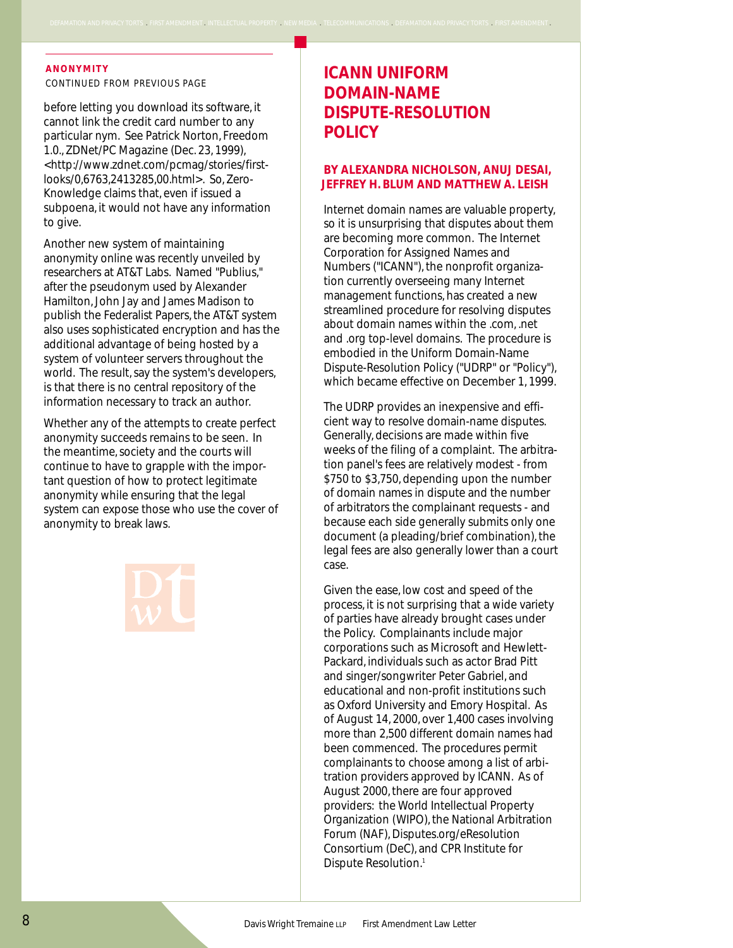#### **ANONYMITY**

*CONTINUED FROM PREVIOUS PAGE*

before letting you download its software, it cannot link the credit card number to any particular nym. See Patrick Norton, Freedom 1.0., ZDNet/PC Magazine (Dec. 23, 1999), <http://www.zdnet.com/pcmag/stories/firstlooks/0,6763,2413285,00.html>. So, Zero-Knowledge claims that, even if issued a subpoena, it would not have any information to give.

Another new system of maintaining anonymity online was recently unveiled by researchers at AT&T Labs. Named "Publius," after the pseudonym used by Alexander Hamilton, John Jay and James Madison to publish the Federalist Papers, the AT&T system also uses sophisticated encryption and has the additional advantage of being hosted by a system of volunteer servers throughout the world. The result, say the system's developers, is that there is no central repository of the information necessary to track an author.

Whether any of the attempts to create perfect anonymity succeeds remains to be seen. In the meantime, society and the courts will continue to have to grapple with the important question of how to protect legitimate anonymity while ensuring that the legal system can expose those who use the cover of anonymity to break laws.

# **ICANN UNIFORM DOMAIN-NAME DISPUTE-RESOLUTION POLICY**

.<br>N AND PRIVACY TORTS . FIRST AMENDMENT . INTELLECTUAL PROPERTY . NEW MEDIA . TELECOMMUNICATIONS . DEFAMATION AND PRIVACY TORTS . FIRST AMENDMENT

#### **BY ALEXANDRA NICHOLSON, ANUJ DESAI, JEFFREY H. BLUM AND MATTHEW A. LEISH**

Internet domain names are valuable property, so it is unsurprising that disputes about them are becoming more common. The Internet Corporation for Assigned Names and Numbers ("ICANN"), the nonprofit organization currently overseeing many Internet management functions, has created a new streamlined procedure for resolving disputes about domain names within the .com, .net and .org top-level domains. The procedure is embodied in the Uniform Domain-Name Dispute-Resolution Policy ("UDRP" or "Policy"), which became effective on December 1, 1999.

The UDRP provides an inexpensive and efficient way to resolve domain-name disputes. Generally, decisions are made within five weeks of the filing of a complaint. The arbitration panel's fees are relatively modest - from \$750 to \$3,750, depending upon the number of domain names in dispute and the number of arbitrators the complainant requests - and because each side generally submits only one document (a pleading/brief combination), the legal fees are also generally lower than a court case.

Given the ease, low cost and speed of the process, it is not surprising that a wide variety of parties have already brought cases under the Policy. Complainants include major corporations such as Microsoft and Hewlett-Packard, individuals such as actor Brad Pitt and singer/songwriter Peter Gabriel, and educational and non-profit institutions such as Oxford University and Emory Hospital. As of August 14, 2000, over 1,400 cases involving more than 2,500 different domain names had been commenced. The procedures permit complainants to choose among a list of arbitration providers approved by ICANN. As of August 2000, there are four approved providers: the World Intellectual Property Organization (WIPO), the National Arbitration Forum (NAF), Disputes.org/eResolution Consortium (DeC), and CPR Institute for Dispute Resolution.<sup>1</sup>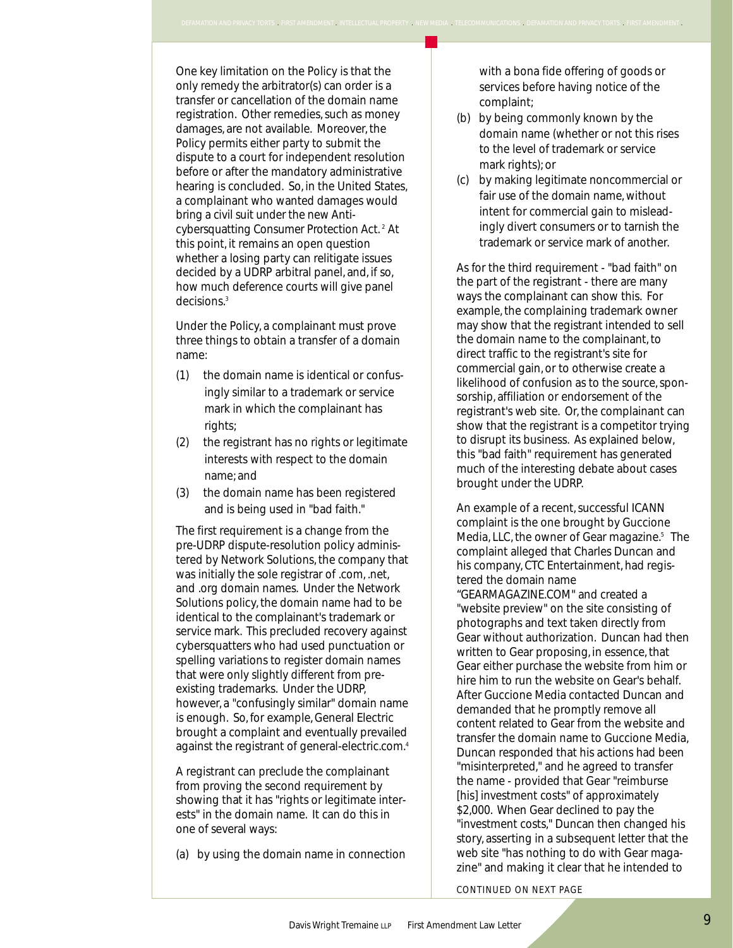One key limitation on the Policy is that the only remedy the arbitrator(s) can order is a transfer or cancellation of the domain name registration. Other remedies, such as money damages, are not available. Moreover, the Policy permits either party to submit the dispute to a court for independent resolution before or after the mandatory administrative hearing is concluded. So, in the United States, a complainant who wanted damages would bring a civil suit under the new Anticybersquatting Consumer Protection Act. 2 At this point, it remains an open question whether a losing party can relitigate issues decided by a UDRP arbitral panel, and, if so, how much deference courts will give panel decisions.3

Under the Policy, a complainant must prove three things to obtain a transfer of a domain name:

- (1) the domain name is identical or confusingly similar to a trademark or service mark in which the complainant has rights;
- (2) the registrant has no rights or legitimate interests with respect to the domain name; and
- (3) the domain name has been registered and is being used in "bad faith."

The first requirement is a change from the pre-UDRP dispute-resolution policy administered by Network Solutions, the company that was initially the sole registrar of .com, .net, and .org domain names. Under the Network Solutions policy, the domain name had to be identical to the complainant's trademark or service mark. This precluded recovery against cybersquatters who had used punctuation or spelling variations to register domain names that were only slightly different from preexisting trademarks. Under the UDRP, however, a "confusingly similar" domain name is enough. So, for example, General Electric brought a complaint and eventually prevailed against the registrant of general-electric.com.4

A registrant can preclude the complainant from proving the second requirement by showing that it has "rights or legitimate interests" in the domain name. It can do this in one of several ways:

(a) by using the domain name in connection

bitrator(s) can order is a<br>tion of the domain name<br>transmission of the domain name with a bona fide offering of goods or services before having notice of the complaint;

MATION AND PRIVACY TORTS . FIRST AMENDMENT . INTELLECTUAL PROPERTY . NEW MEDIA . TELECOMMUNICATIONS . DEFAMATION AND PRIVACY TORTS . FIRST AMENDMENT .

- (b) by being commonly known by the domain name (whether or not this rises to the level of trademark or service mark rights); or
- (c) by making legitimate noncommercial or fair use of the domain name, without intent for commercial gain to misleadingly divert consumers or to tarnish the trademark or service mark of another.

As for the third requirement - "bad faith" on the part of the registrant - there are many ways the complainant can show this. For example, the complaining trademark owner may show that the registrant intended to sell the domain name to the complainant, to direct traffic to the registrant's site for commercial gain, or to otherwise create a likelihood of confusion as to the source, sponsorship, affiliation or endorsement of the registrant's web site. Or, the complainant can show that the registrant is a competitor trying to disrupt its business. As explained below, this "bad faith" requirement has generated much of the interesting debate about cases brought under the UDRP.

An example of a recent, successful ICANN complaint is the one brought by Guccione Media, LLC, the owner of Gear magazine.<sup>5</sup> The complaint alleged that Charles Duncan and his company, CTC Entertainment, had registered the domain name "GEARMAGAZINE.COM" and created a "website preview" on the site consisting of photographs and text taken directly from Gear without authorization. Duncan had then written to Gear proposing, in essence, that Gear either purchase the website from him or hire him to run the website on Gear's behalf. After Guccione Media contacted Duncan and demanded that he promptly remove all content related to Gear from the website and transfer the domain name to Guccione Media, Duncan responded that his actions had been "misinterpreted," and he agreed to transfer the name - provided that Gear "reimburse [his] investment costs" of approximately \$2,000. When Gear declined to pay the "investment costs," Duncan then changed his story, asserting in a subsequent letter that the web site "has nothing to do with Gear magazine" and making it clear that he intended to

*CONTINUED ON NEXT PAGE*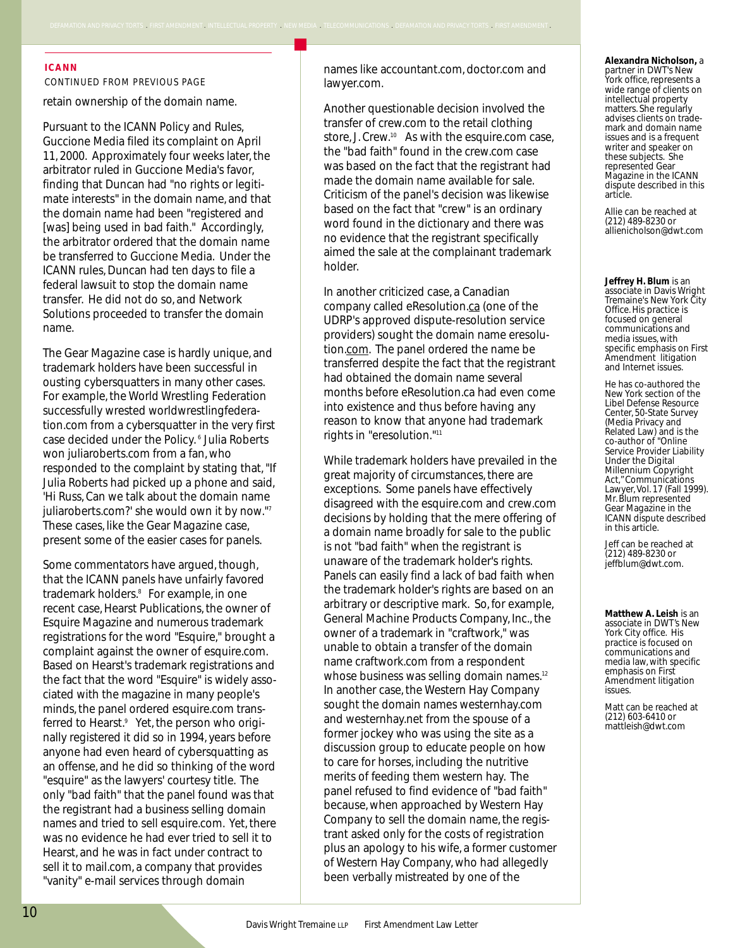#### **ICANN**

*CONTINUED FROM PREVIOUS PAGE*

retain ownership of the domain name.

D PRIVACY TORTS ,FIRST AMENDMENT,INTELLECTUAL PROPERTY ,NEW MEDIA ,TELECOMMUNICATIONS ,DEFAM

Pursuant to the ICANN Policy and Rules, Guccione Media filed its complaint on April 11, 2000. Approximately four weeks later, the arbitrator ruled in Guccione Media's favor, finding that Duncan had "no rights or legitimate interests" in the domain name, and that the domain name had been "registered and [was] being used in bad faith." Accordingly, the arbitrator ordered that the domain name be transferred to Guccione Media. Under the ICANN rules, Duncan had ten days to file a federal lawsuit to stop the domain name transfer. He did not do so, and Network Solutions proceeded to transfer the domain name.

The Gear Magazine case is hardly unique, and trademark holders have been successful in ousting cybersquatters in many other cases. For example, the World Wrestling Federation successfully wrested worldwrestlingfederation.com from a cybersquatter in the very first case decided under the Policy. <sup>6</sup> Julia Roberts won juliaroberts.com from a fan, who responded to the complaint by stating that, "If Julia Roberts had picked up a phone and said, 'Hi Russ, Can we talk about the domain name juliaroberts.com?' she would own it by now."7 These cases, like the Gear Magazine case, present some of the easier cases for panels.

Some commentators have argued, though, that the ICANN panels have unfairly favored trademark holders.<sup>8</sup> For example, in one recent case, Hearst Publications, the owner of Esquire Magazine and numerous trademark registrations for the word "Esquire," brought a complaint against the owner of esquire.com. Based on Hearst's trademark registrations and the fact that the word "Esquire" is widely associated with the magazine in many people's minds, the panel ordered esquire.com transferred to Hearst.<sup>9</sup> Yet, the person who originally registered it did so in 1994, years before anyone had even heard of cybersquatting as an offense, and he did so thinking of the word "esquire" as the lawyers' courtesy title. The only "bad faith" that the panel found was that the registrant had a business selling domain names and tried to sell esquire.com. Yet, there was no evidence he had ever tried to sell it to Hearst, and he was in fact under contract to sell it to mail.com, a company that provides "vanity" e-mail services through domain

names like accountant.com, doctor.com and lawyer.com.

Another questionable decision involved the transfer of crew.com to the retail clothing store, J. Crew.<sup>10</sup> As with the esquire.com case, the "bad faith" found in the crew.com case was based on the fact that the registrant had made the domain name available for sale. Criticism of the panel's decision was likewise based on the fact that "crew" is an ordinary word found in the dictionary and there was no evidence that the registrant specifically aimed the sale at the complainant trademark holder.

In another criticized case, a Canadian company called eResolution.ca (one of the UDRP's approved dispute-resolution service providers) sought the domain name eresolution.com. The panel ordered the name be transferred despite the fact that the registrant had obtained the domain name several months before eResolution.ca had even come into existence and thus before having any reason to know that anyone had trademark rights in "eresolution."11

While trademark holders have prevailed in the great majority of circumstances, there are exceptions. Some panels have effectively disagreed with the esquire.com and crew.com decisions by holding that the mere offering of a domain name broadly for sale to the public is not "bad faith" when the registrant is unaware of the trademark holder's rights. Panels can easily find a lack of bad faith when the trademark holder's rights are based on an arbitrary or descriptive mark. So, for example, General Machine Products Company, Inc., the owner of a trademark in "craftwork," was unable to obtain a transfer of the domain name craftwork.com from a respondent whose business was selling domain names.<sup>12</sup> In another case, the Western Hay Company sought the domain names westernhay.com and westernhay.net from the spouse of a former jockey who was using the site as a discussion group to educate people on how to care for horses, including the nutritive merits of feeding them western hay. The panel refused to find evidence of "bad faith" because, when approached by Western Hay Company to sell the domain name, the registrant asked only for the costs of registration plus an apology to his wife, a former customer of Western Hay Company, who had allegedly been verbally mistreated by one of the

**Alexandra Nicholson,** a partner in DWT's New York office, represents a wide range of clients on intellectual property matters. She regularly advises clients on trademark and domain name issues and is a frequent writer and speaker on these subjects. She represented Gear Magazine in the ICANN dispute described in this article.

Allie can be reached at (212) 489-8230 or allienicholson@dwt.com

**Jeffrey H. Blum** is an associate in Davis Wright Tremaine's New York City Office. His practice is focused on general communications and media issues, with specific emphasis on First Amendment litigation and Internet issues.

He has co-authored the New York section of the Libel Defense Resource Center, 50-State Survey (Media Privacy and Related Law) and is the co-author of "Online Service Provider Liability Under the Digital Millennium Copyright Act," Communications Lawyer, Vol. 17 (Fall 1999). Mr. Blum represented Gear Magazine in the ICANN dispute described in this article.

Jeff can be reached at (212) 489-8230 or jeffblum@dwt.com.

**Matthew A. Leish** is an associate in DWT's New York City office. His practice is focused on communications and media law, with specific emphasis on First Amendment litigation issues.

Matt can be reached at (212) 603-6410 or mattleish@dwt.com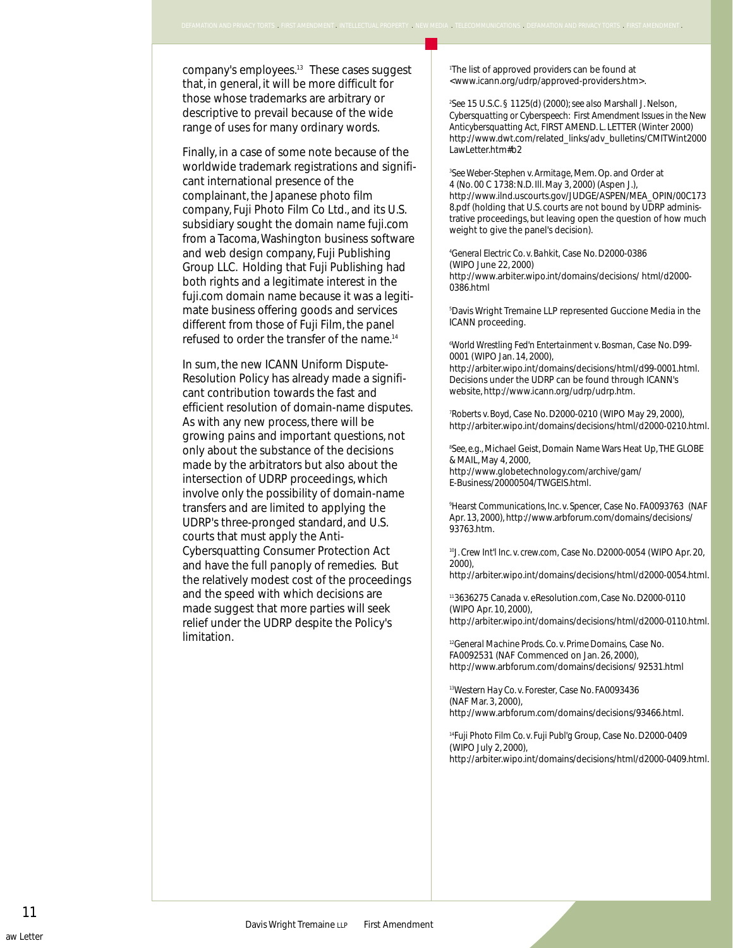Will be more difficult for<br>
emarks are arbitrary or<br>
vail because of the wide<br>
vail because of the wide<br>
Cybersquatting or Cyberspech: First Amendment Issues company's employees.13 These cases suggest that, in general, it will be more difficult for those whose trademarks are arbitrary or descriptive to prevail because of the wide range of uses for many ordinary words.

I AND PRIVACY TORTS . FIRST AMENDMENT . INTELLECTUAL PROPERTY . NEW MEDIA . TELEC

Finally, in a case of some note because of the worldwide trademark registrations and significant international presence of the complainant, the Japanese photo film company, Fuji Photo Film Co Ltd., and its U.S. subsidiary sought the domain name fuji.com from a Tacoma, Washington business software and web design company, Fuji Publishing Group LLC. Holding that Fuji Publishing had both rights and a legitimate interest in the fuji.com domain name because it was a legitimate business offering goods and services different from those of Fuji Film, the panel refused to order the transfer of the name.14

In sum, the new ICANN Uniform Dispute-Resolution Policy has already made a significant contribution towards the fast and efficient resolution of domain-name disputes. As with any new process, there will be growing pains and important questions, not only about the substance of the decisions made by the arbitrators but also about the intersection of UDRP proceedings, which involve only the possibility of domain-name transfers and are limited to applying the UDRP's three-pronged standard, and U.S. courts that must apply the Anti-Cybersquatting Consumer Protection Act and have the full panoply of remedies. But the relatively modest cost of the proceedings and the speed with which decisions are made suggest that more parties will seek relief under the UDRP despite the Policy's limitation.

1 The list of approved providers can be found at <www.icann.org/udrp/approved-providers.htm>.

2 *See* 15 U.S.C. § 1125(d) (2000);*see also* Marshall J. Nelson, *Cybersquatting or Cyberspeech: First Amendment Issues in the New Anticybersquatting Act,* FIRST AMEND. L. LETTER (Winter 2000) http://www.dwt.com/related\_links/adv\_bulletins/CMITWint2000 LawLetter.htm#h2

3 *See Weber-Stephen v. Armitage*, Mem. Op. and Order at 4 (No. 00 C 1738: N.D. Ill. May 3, 2000) (Aspen J.), http://www.ilnd.uscourts.gov/JUDGE/ASPEN/MEA\_OPIN/00C173 8.pdf (holding that U.S. courts are not bound by UDRP administrative proceedings, but leaving open the question of how much weight to give the panel's decision).

4 *General Electric Co. v. Bahkit,* Case No. D2000-0386 (WIPO June 22, 2000) http://www.arbiter.wipo.int/domains/decisions/ html/d2000- 0386.html

5 Davis Wright Tremaine LLP represented Guccione Media in the ICANN proceeding.

6 *World Wrestling Fed'n Entertainment v. Bosman,* Case No. D99- 0001 (WIPO Jan. 14, 2000),

http://arbiter.wipo.int/domains/decisions/html/d99-0001.html. Decisions under the UDRP can be found through ICANN's website, http://www.icann.org/udrp/udrp.htm.

7 *Roberts v. Boyd,* Case No. D2000-0210 (WIPO May 29, 2000), http://arbiter.wipo.int/domains/decisions/html/d2000-0210.html.

8 *See, e.g.,* Michael Geist, Domain Name Wars Heat Up, THE GLOBE & MAIL, May 4, 2000, http://www.globetechnology.com/archive/gam/ E-Business/20000504/TWGEIS.html.

9 *Hearst Communications, Inc. v. Spencer,* Case No. FA0093763 (NAF Apr. 13, 2000), http://www.arbforum.com/domains/decisions/ 93763.htm.

<sup>10</sup>*J. Crew Int'l Inc. v. crew.com,* Case No. D2000-0054 (WIPO Apr. 20, 2000),

http://arbiter.wipo.int/domains/decisions/html/d2000-0054.html.

113636275 Canada v. eResolution.com, Case No. D2000-0110 (WIPO Apr. 10, 2000), http://arbiter.wipo.int/domains/decisions/html/d2000-0110.html.

<sup>12</sup>*General Machine Prods. Co. v. Prime Domains,* Case No. FA0092531 (NAF Commenced on Jan. 26, 2000), http://www.arbforum.com/domains/decisions/ 92531.html

<sup>13</sup>*Western Hay Co. v. Forester,* Case No. FA0093436 (NAF Mar. 3, 2000), http://www.arbforum.com/domains/decisions/93466.html.

<sup>14</sup>*Fuji Photo Film Co. v. Fuji Publ'g Group,* Case No. D2000-0409 (WIPO July 2, 2000), http://arbiter.wipo.int/domains/decisions/html/d2000-0409.html.